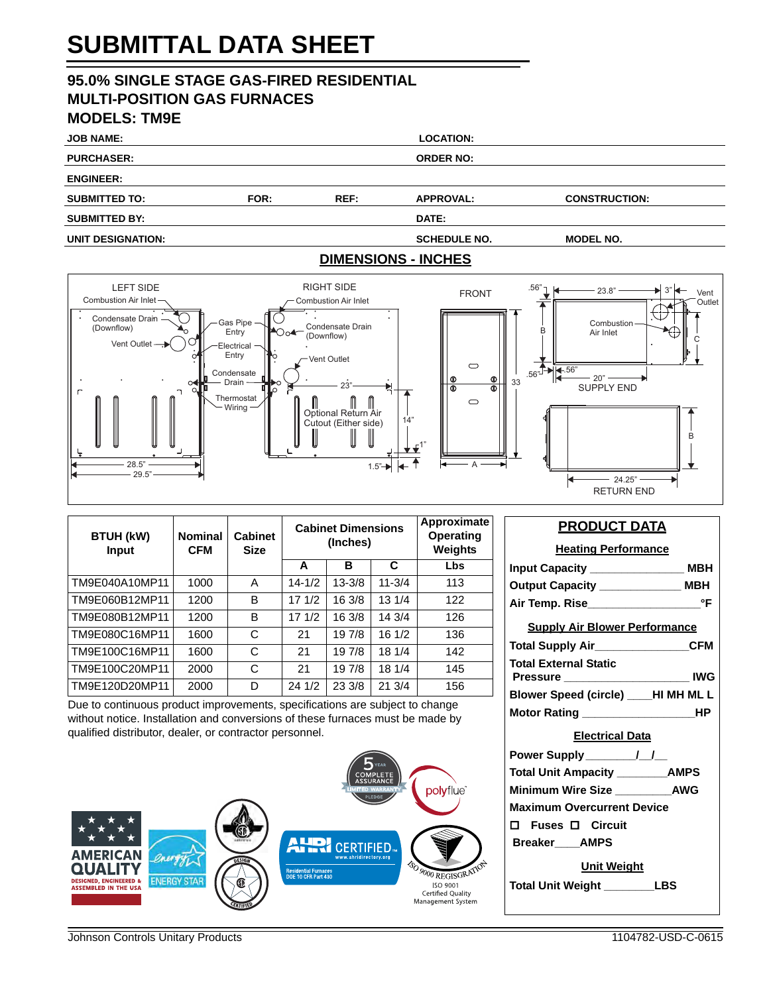# **SUBMITTAL DATA SHEET**

## **95.0% SINGLE STAGE GAS-FIRED RESIDENTIAL MULTI-POSITION GAS FURNACES MODELS: TM9E**

| <b>JOB NAME:</b>     |      |      | <b>LOCATION:</b>           |                      |  |
|----------------------|------|------|----------------------------|----------------------|--|
| <b>PURCHASER:</b>    |      |      | <b>ORDER NO:</b>           |                      |  |
| <b>ENGINEER:</b>     |      |      |                            |                      |  |
| <b>SUBMITTED TO:</b> | FOR: | REF: | <b>APPROVAL:</b>           | <b>CONSTRUCTION:</b> |  |
| <b>SUBMITTED BY:</b> |      |      | DATE:                      |                      |  |
| UNIT DESIGNATION:    |      |      | <b>SCHEDULE NO.</b>        | <b>MODEL NO.</b>     |  |
|                      |      |      | <b>DIMENSIONS - INCHES</b> |                      |  |



| <b>BTUH (kW)</b><br><b>Input</b> | <b>Nominal</b><br><b>CFM</b> | <b>Cabinet</b><br><b>Size</b> | <b>Cabinet Dimensions</b><br>(Inches) |            | Approximate<br><b>Operating</b><br>Weights |            |
|----------------------------------|------------------------------|-------------------------------|---------------------------------------|------------|--------------------------------------------|------------|
|                                  |                              |                               | A                                     | в          | C                                          | <b>Lbs</b> |
| TM9E040A10MP11                   | 1000                         | Α                             | $14 - 1/2$                            | $13 - 3/8$ | $11 - 3/4$                                 | 113        |
| TM9E060B12MP11                   | 1200                         | B                             | 171/2                                 | 16 3/8     | 13 1/4                                     | 122        |
| TM9E080B12MP11                   | 1200                         | B                             | 171/2                                 | 16 3/8     | 14 3/4                                     | 126        |
| TM9E080C16MP11                   | 1600                         | C                             | 21                                    | 197/8      | 16 1/2                                     | 136        |
| TM9E100C16MP11                   | 1600                         | C                             | 21                                    | 19 7/8     | 18 1/4                                     | 142        |
| TM9E100C20MP11                   | 2000                         | C                             | 21                                    | 19 7/8     | 18 1/4                                     | 145        |
| TM9E120D20MP11                   | 2000                         | D                             | 24 1/2                                | 23 3/8     | 21 3/4                                     | 156        |

Due to continuous product improvements, specifications are subject to change without notice. Installation and conversions of these furnaces must be made by qualified distributor, dealer, or contractor personnel.



### **PRODUCT DATA**

| <b>Heating Performance</b>            |  |  |  |  |  |
|---------------------------------------|--|--|--|--|--|
|                                       |  |  |  |  |  |
| Output Capacity ________________ MBH  |  |  |  |  |  |
|                                       |  |  |  |  |  |
| <b>Supply Air Blower Performance</b>  |  |  |  |  |  |
| Total Supply Air________________CFM   |  |  |  |  |  |
| <b>Total External Static</b>          |  |  |  |  |  |
| Pressure ________________________ IWG |  |  |  |  |  |
| Blower Speed (circle) ____HI MH ML L  |  |  |  |  |  |
|                                       |  |  |  |  |  |
| <b>Electrical Data</b>                |  |  |  |  |  |
|                                       |  |  |  |  |  |
|                                       |  |  |  |  |  |
| Total Unit Ampacity _________AMPS     |  |  |  |  |  |
| Minimum Wire Size ___________AWG      |  |  |  |  |  |
| <b>Maximum Overcurrent Device</b>     |  |  |  |  |  |
| $\Box$ Fuses $\Box$ Circuit           |  |  |  |  |  |
| Breaker AMPS                          |  |  |  |  |  |
| <u>Unit Weight</u>                    |  |  |  |  |  |
| Total Unit Weight _________LBS        |  |  |  |  |  |

Johnson Controls Unitary Products 1104782-USD-C-0615